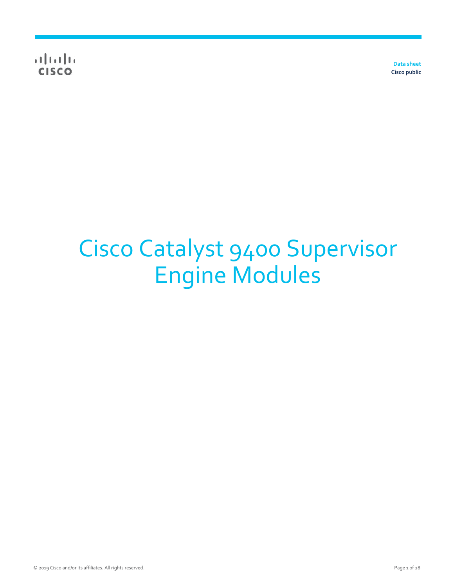$\alpha$  and  $\alpha$ **CISCO** 

**Data sheet Cisco public** 

# Cisco Catalyst 9400 Supervisor Engine Modules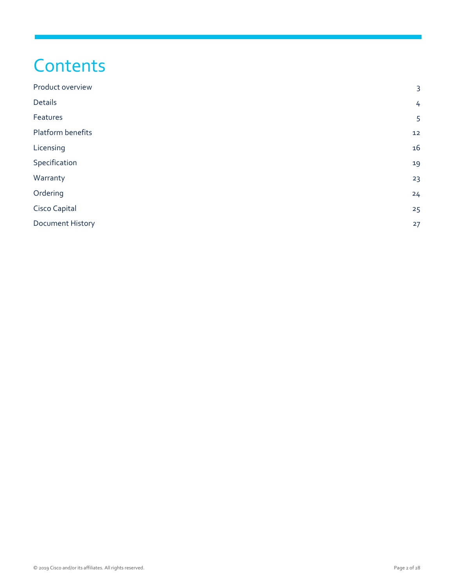## **Contents**

| Product overview        | $\overline{3}$ |
|-------------------------|----------------|
| <b>Details</b>          | 4              |
| Features                | 5              |
| Platform benefits       | 12             |
| Licensing               | 16             |
| Specification           | 19             |
| Warranty                | 23             |
| Ordering                | 24             |
| Cisco Capital           | 25             |
| <b>Document History</b> | 27             |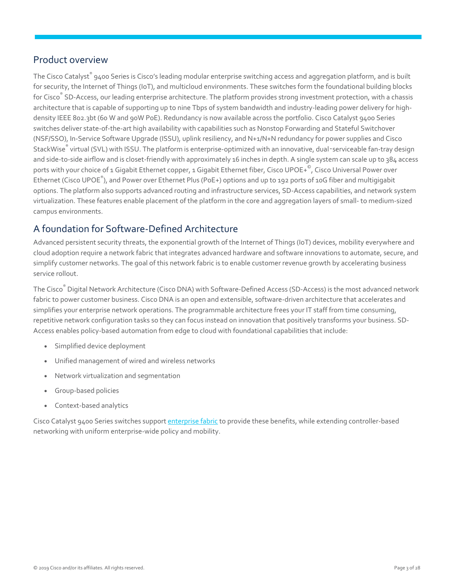## <span id="page-2-0"></span>Product overview

The Cisco Catalyst $\degree$  9400 Series is Cisco's leading modular enterprise switching access and aggregation platform, and is built for security, the Internet of Things (IoT), and multicloud environments. These switches form the foundational building blocks for Cisco® SD-Access, our leading enterprise architecture. The platform provides strong investment protection, with a chassis architecture that is capable of supporting up to nine Tbps of system bandwidth and industry-leading power delivery for highdensity IEEE 802.3bt (60 W and 90W PoE). Redundancy is now available across the portfolio. Cisco Catalyst 9400 Series switches deliver state-of-the-art high availability with capabilities such as Nonstop Forwarding and Stateful Switchover (NSF/SSO), In-Service Software Upgrade (ISSU), uplink resiliency, and N+1/N+N redundancy for power supplies and Cisco StackWise® virtual (SVL) with ISSU. The platform is enterprise-optimized with an innovative, dual-serviceable fan-tray design and side-to-side airflow and is closet-friendly with approximately 16 inches in depth. A single system can scale up to 384 access ports with your choice of 1 Gigabit Ethernet copper, 1 Gigabit Ethernet fiber, Cisco UPOE+<sup>©</sup>, Cisco Universal Power over Ethernet (Cisco UPOE $^{\circ}$ ), and Power over Ethernet Plus (PoE+) options and up to 192 ports of 10G fiber and multigigabit options. The platform also supports advanced routing and infrastructure services, SD-Access capabilities, and network system virtualization. These features enable placement of the platform in the core and aggregation layers of small- to medium-sized campus environments.

## A foundation for Software-Defined Architecture

Advanced persistent security threats, the exponential growth of the Internet of Things (IoT) devices, mobility everywhere and cloud adoption require a network fabric that integrates advanced hardware and software innovations to automate, secure, and simplify customer networks. The goal of this network fabric is to enable customer revenue growth by accelerating business service rollout.

The Cisco® Digital Network Architecture (Cisco DNA) with Software-Defined Access (SD-Access) is the most advanced network fabric to power customer business. Cisco DNA is an open and extensible, software-driven architecture that accelerates and simplifies your enterprise network operations. The programmable architecture frees your IT staff from time consuming, repetitive network configuration tasks so they can focus instead on innovation that positively transforms your business. SD-Access enables policy-based automation from edge to cloud with foundational capabilities that include:

- Simplified device deployment
- Unified management of wired and wireless networks
- Network virtualization and segmentation
- Group-based policies
- Context-based analytics

Cisco Catalyst 9400 Series switches suppor[t enterprise fabric t](https://www.cisco.com/c/dam/en/us/td/docs/solutions/CVD/Campus/CVD-Software-Defined-Access-Design-Guide-2018APR.pdf)o provide these benefits, while extending controller-based networking with uniform enterprise-wide policy and mobility.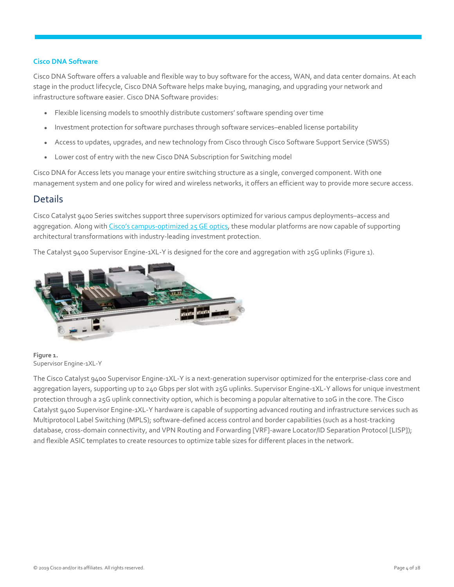#### **Cisco DNA Software**

Cisco DNA Software offers a valuable and flexible way to buy software for the access, WAN, and data center domains. At each stage in the product lifecycle, Cisco DNA Software helps make buying, managing, and upgrading your network and infrastructure software easier. Cisco DNA Software provides:

- Flexible licensing models to smoothly distribute customers' software spending over time
- Investment protection for software purchases through software services–enabled license portability
- Access to updates, upgrades, and new technology from Cisco through Cisco Software Support Service (SWSS)
- Lower cost of entry with the new Cisco DNA Subscription for Switching model

Cisco DNA for Access lets you manage your entire switching structure as a single, converged component. With one management system and one policy for wired and wireless networks, it offers an efficient way to provide more secure access.

#### <span id="page-3-0"></span>**Details**

Cisco Catalyst 9400 Series switches support three supervisors optimized for various campus deployments–access and aggregation. Along with Cisco's campus[-optimized 25 GE optics,](https://www.cisco.com/c/dam/en/us/products/collateral/switches/catalyst-9000/nb-09-25ge-100ge-wp-cte-en.pdf) these modular platforms are now capable of supporting architectural transformations with industry-leading investment protection.

The Catalyst 9400 Supervisor Engine-1XL-Y is designed for the core and aggregation with 25G uplinks (Figure 1).



**Figure 1.**  Supervisor Engine-1XL-Y

The Cisco Catalyst 9400 Supervisor Engine-1XL-Y is a next-generation supervisor optimized for the enterprise-class core and aggregation layers, supporting up to 240 Gbps per slot with 25G uplinks. Supervisor Engine-1XL-Y allows for unique investment protection through a 25G uplink connectivity option, which is becoming a popular alternative to 10G in the core. The Cisco Catalyst 9400 Supervisor Engine-1XL-Y hardware is capable of supporting advanced routing and infrastructure services such as Multiprotocol Label Switching (MPLS); software-defined access control and border capabilities (such as a host-tracking database, cross-domain connectivity, and VPN Routing and Forwarding [VRF]-aware Locator/ID Separation Protocol [LISP]); and flexible ASIC templates to create resources to optimize table sizes for different places in the network.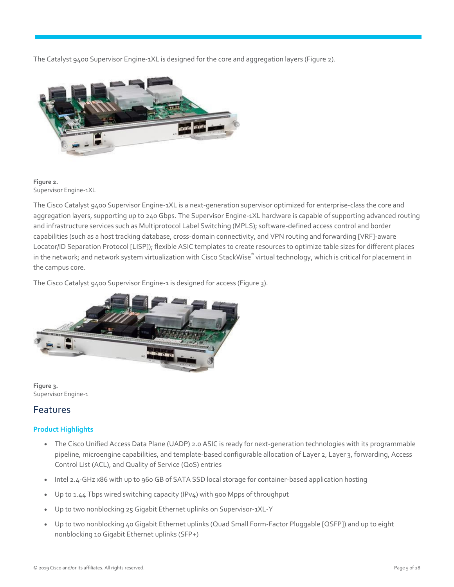The Catalyst 9400 Supervisor Engine-1XL is designed for the core and aggregation layers (Figure 2).



#### **Figure 2.**  Supervisor Engine-1XL

The Cisco Catalyst 9400 Supervisor Engine-1XL is a next-generation supervisor optimized for enterprise-class the core and aggregation layers, supporting up to 240 Gbps. The Supervisor Engine-1XL hardware is capable of supporting advanced routing and infrastructure services such as Multiprotocol Label Switching (MPLS); software-defined access control and border capabilities (such as a host tracking database, cross-domain connectivity, and VPN routing and forwarding [VRF]-aware Locator/ID Separation Protocol [LISP]); flexible ASIC templates to create resources to optimize table sizes for different places in the network; and network system virtualization with Cisco StackWise® virtual technology, which is critical for placement in the campus core.

The Cisco Catalyst 9400 Supervisor Engine-1 is designed for access (Figure 3).



**Figure 3.**  Supervisor Engine-1

## <span id="page-4-1"></span><span id="page-4-0"></span>Features

#### **Product Highlights**

- The Cisco Unified Access Data Plane (UADP) 2.0 ASIC is ready for next-generation technologies with its programmable pipeline, microengine capabilities, and template-based configurable allocation of Layer 2, Layer 3, forwarding, Access Control List (ACL), and Quality of Service (QoS) entries
- Intel 2.4-GHz x86 with up to 960 GB of SATA SSD local storage for container-based application hosting
- Up to 1.44 Tbps wired switching capacity (IPv4) with 900 Mpps of throughput
- Up to two nonblocking 25 Gigabit Ethernet uplinks on Supervisor-1XL-Y
- Up to two nonblocking 40 Gigabit Ethernet uplinks (Quad Small Form-Factor Pluggable [QSFP]) and up to eight nonblocking 10 Gigabit Ethernet uplinks (SFP+)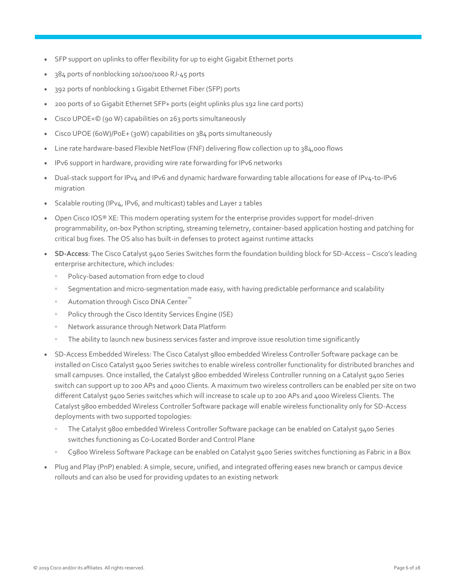- SFP support on uplinks to offer flexibility for up to eight Gigabit Ethernet ports
- 384 ports of nonblocking 10/100/1000 RJ-45 ports
- 392 ports of nonblocking 1 Gigabit Ethernet Fiber (SFP) ports
- 200 ports of 10 Gigabit Ethernet SFP+ ports (eight uplinks plus 192 line card ports)
- Cisco UPOE+© (90 W) capabilities on 263 ports simultaneously
- Cisco UPOE (60W)/PoE+ (30W) capabilities on 384 ports simultaneously
- Line rate hardware-based Flexible NetFlow (FNF) delivering flow collection up to 384,000 flows
- IPv6 support in hardware, providing wire rate forwarding for IPv6 networks
- Dual-stack support for IPv4 and IPv6 and dynamic hardware forwarding table allocations for ease of IPv4-to-IPv6 migration
- Scalable routing (IPv4, IPv6, and multicast) tables and Layer 2 tables
- Open Cisco IOS® XE: This modern operating system for the enterprise provides support for model-driven programmability, on-box Python scripting, streaming telemetry, container-based application hosting and patching for critical bug fixes. The OS also has built-in defenses to protect against runtime attacks
- **SD-Access**: The Cisco Catalyst 9400 Series Switches form the foundation building block for SD-Access Cisco's leading enterprise architecture, which includes:
	- Policy-based automation from edge to cloud
	- Segmentation and micro-segmentation made easy, with having predictable performance and scalability
	- Automation through Cisco DNA Center<sup>™</sup>
	- Policy through the Cisco Identity Services Engine (ISE)
	- Network assurance through Network Data Platform
	- The ability to launch new business services faster and improve issue resolution time significantly
- SD-Access Embedded Wireless: The Cisco Catalyst 9800 embedded Wireless Controller Software package can be installed on Cisco Catalyst 9400 Series switches to enable wireless controller functionality for distributed branches and small campuses. Once installed, the Catalyst 9800 embedded Wireless Controller running on a Catalyst 9400 Series switch can support up to 200 APs and 4000 Clients. A maximum two wireless controllers can be enabled per site on two different Catalyst 9400 Series switches which will increase to scale up to 200 APs and 4000 Wireless Clients. The Catalyst 9800 embedded Wireless Controller Software package will enable wireless functionality only for SD-Access deployments with two supported topologies:
	- The Catalyst 9800 embedded Wireless Controller Software package can be enabled on Catalyst 9400 Series switches functioning as Co-Located Border and Control Plane
	- C9800 Wireless Software Package can be enabled on Catalyst 9400 Series switches functioning as Fabric in a Box
- Plug and Play (PnP) enabled: A simple, secure, unified, and integrated offering eases new branch or campus device rollouts and can also be used for providing updates to an existing network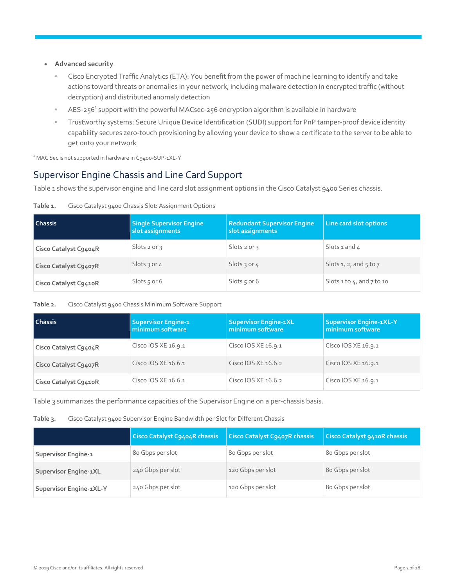- **Advanced security** 
	- Cisco Encrypted Traffic Analytics (ETA): You benefit from the power of machine learning to identify and take actions toward threats or anomalies in your network, including malware detection in encrypted traffic (without decryption) and distributed anomaly detection
	- AES-256<sup>1</sup> support with the powerful MACsec-256 encryption algorithm is available in hardware
	- Trustworthy systems: Secure Unique Device Identification (SUDI) support for PnP tamper-proof device identity capability secures zero-touch provisioning by allowing your device to show a certificate to the server to be able to get onto your network

<span id="page-6-0"></span><sup>1</sup> MAC Sec is not supported in hardware in C9400-SUP-1XL-Y

## Supervisor Engine Chassis and Line Card Support

Table 1 shows the supervisor engine and line card slot assignment options in the Cisco Catalyst 9400 Series chassis.

| <b>Chassis</b>        | <b>Single Supervisor Engine</b><br>slot assignments | <b>Redundant Supervisor Engine</b><br>slot assignments | Line card slot options             |
|-----------------------|-----------------------------------------------------|--------------------------------------------------------|------------------------------------|
| Cisco Catalyst C9404R | $S$ lots 2 or 3                                     | Slots $2$ or $3$                                       | Slots 1 and $4$                    |
| Cisco Catalyst C9407R | Slots 3 or 4                                        | Slots 3 or 4                                           | Slots 1, 2, and $5$ to 7           |
| Cisco Catalyst C9410R | Slots $5$ or 6                                      | Slots $5$ or 6                                         | Slots $1$ to $4$ , and $7$ to $10$ |

#### **Table 1.** Cisco Catalyst 9400 Chassis Slot: Assignment Options

#### **Table 2.** Cisco Catalyst 9400 Chassis Minimum Software Support

| l Chassis             | <b>Supervisor Engine-1</b><br>minimum software | <b>Supervisor Engine-1XL</b><br>minimum software | <b>Supervisor Engine-1XL-Y</b><br>minimum software |
|-----------------------|------------------------------------------------|--------------------------------------------------|----------------------------------------------------|
| Cisco Catalyst C9404R | Cisco IOS XE 16.9.1                            | Cisco IOS XE 16.9.1                              | Cisco IOS XE 16.9.1                                |
| Cisco Catalyst C9407R | Cisco IOS XE 16.6.1                            | Cisco IOS XE 16.6.2                              | Cisco IOS XE 16.9.1                                |
| Cisco Catalyst C9410R | Cisco IOS XE 16.6.1                            | Cisco IOS XE 16.6.2                              | Cisco IOS XE 16.9.1                                |

Table 3 summarizes the performance capacities of the Supervisor Engine on a per-chassis basis.

#### **Table 3.** Cisco Catalyst 9400 Supervisor Engine Bandwidth per Slot for Different Chassis

|                              | <b>Cisco Catalyst C9404R chassis</b> | <b>Cisco Catalyst C9407R chassis</b> | Cisco Catalyst 9410R chassis |
|------------------------------|--------------------------------------|--------------------------------------|------------------------------|
| Supervisor Engine-1          | 80 Gbps per slot                     | 80 Gbps per slot                     | 80 Gbps per slot             |
| <b>Supervisor Engine-1XL</b> | 240 Gbps per slot                    | 120 Gbps per slot                    | 80 Gbps per slot             |
| Supervisor Engine-1XL-Y      | 240 Gbps per slot                    | 120 Gbps per slot                    | 80 Gbps per slot             |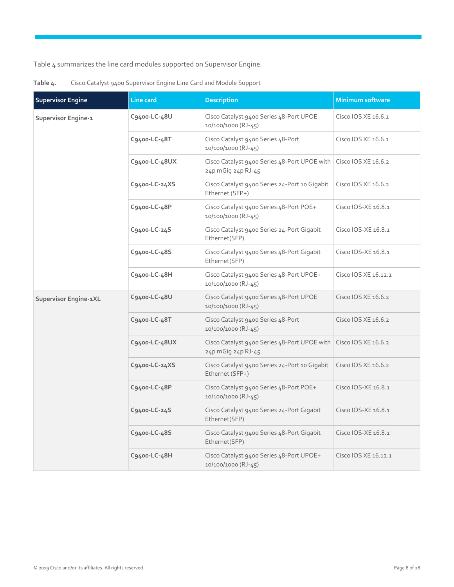Table 4 summarizes the line card modules supported on Supervisor Engine.

| <b>Supervisor Engine</b> | Line card     | <b>Description</b>                                                                     | <b>Minimum software</b> |
|--------------------------|---------------|----------------------------------------------------------------------------------------|-------------------------|
| Supervisor Engine-1      | C9400-LC-48U  | Cisco Catalyst 9400 Series 48-Port UPOE<br>10/100/1000 (RJ-45)                         | Cisco IOS XE 16.6.1     |
|                          | C9400-LC-48T  | Cisco Catalyst 9400 Series 48-Port<br>10/100/1000 (RJ-45)                              | Cisco IOS XE 16.6.1     |
|                          | C9400-LC-48UX | Cisco Catalyst 9400 Series 48-Port UPOE with Cisco IOS XE 16.6.2<br>24p mGig 24p RJ-45 |                         |
|                          | C9400-LC-24XS | Cisco Catalyst 9400 Series 24-Port 10 Gigabit<br>Ethernet (SFP+)                       | Cisco IOS XE 16.6.2     |
|                          | C9400-LC-48P  | Cisco Catalyst 9400 Series 48-Port POE+<br>10/100/1000 (RJ-45)                         | Cisco IOS-XE 16.8.1     |
|                          | C9400-LC-24S  | Cisco Catalyst 9400 Series 24-Port Gigabit<br>Ethernet(SFP)                            | Cisco IOS-XE 16.8.1     |
|                          | C9400-LC-48S  | Cisco Catalyst 9400 Series 48-Port Gigabit<br>Ethernet(SFP)                            | Cisco IOS-XE 16.8.1     |
|                          | C9400-LC-48H  | Cisco Catalyst 9400 Series 48-Port UPOE+<br>10/100/1000 (RJ-45)                        | Cisco IOS XE 16.12.1    |
| Supervisor Engine-1XL    | C9400-LC-48U  | Cisco Catalyst 9400 Series 48-Port UPOE<br>10/100/1000 (RJ-45)                         | Cisco IOS XE 16.6.2     |
|                          | C9400-LC-48T  | Cisco Catalyst 9400 Series 48-Port<br>10/100/1000 (RJ-45)                              | Cisco IOS XE 16.6.2     |
|                          | C9400-LC-48UX | Cisco Catalyst 9400 Series 48-Port UPOE with Cisco IOS XE 16.6.2<br>24p mGig 24p RJ-45 |                         |
|                          | C9400-LC-24XS | Cisco Catalyst 9400 Series 24-Port 10 Gigabit<br>Ethernet (SFP+)                       | Cisco IOS XE 16.6.2     |
|                          | C9400-LC-48P  | Cisco Catalyst 9400 Series 48-Port POE+<br>10/100/1000 (RJ-45)                         | Cisco IOS-XE 16.8.1     |
|                          | C9400-LC-24S  | Cisco Catalyst 9400 Series 24-Port Gigabit<br>Ethernet(SFP)                            | Cisco IOS-XE 16.8.1     |
|                          | C9400-LC-48S  | Cisco Catalyst 9400 Series 48-Port Gigabit<br>Ethernet(SFP)                            | Cisco IOS-XE 16.8.1     |
|                          | C9400-LC-48H  | Cisco Catalyst 9400 Series 48-Port UPOE+<br>10/100/1000 (RJ-45)                        | Cisco IOS XE 16.12.1    |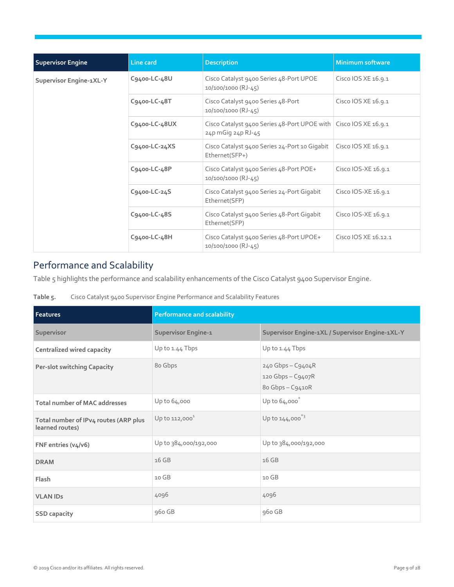| <b>Supervisor Engine</b> | Line card     | <b>Description</b>                                                                     | <b>Minimum software</b> |
|--------------------------|---------------|----------------------------------------------------------------------------------------|-------------------------|
| Supervisor Engine-1XL-Y  | C9400-LC-48U  | Cisco Catalyst 9400 Series 48-Port UPOE<br>10/100/1000 (RJ-45)                         | Cisco IOS XE 16.9.1     |
|                          | C9400-LC-48T  | Cisco Catalyst 9400 Series 48-Port<br>$10/100/1000$ (RJ-45)                            | Cisco IOS XE 16.9.1     |
|                          | C9400-LC-48UX | Cisco Catalyst 9400 Series 48-Port UPOE with Cisco IOS XE 16.9.1<br>24p mGig 24p RJ-45 |                         |
|                          | C9400-LC-24XS | Cisco Catalyst 9400 Series 24-Port 10 Gigabit<br>Ethernet(SFP+)                        | Cisco IOS XE 16.9.1     |
|                          | C9400-LC-48P  | Cisco Catalyst 9400 Series 48-Port POE+<br>$10/100/1000$ (RJ-45)                       | Cisco IOS-XE 16.9.1     |
|                          | C9400-LC-24S  | Cisco Catalyst 9400 Series 24-Port Gigabit<br>Ethernet(SFP)                            | Cisco IOS-XE 16.9.1     |
|                          | C9400-LC-48S  | Cisco Catalyst 9400 Series 48-Port Gigabit<br>Ethernet(SFP)                            | Cisco IOS-XE 16.9.1     |
|                          | C9400-LC-48H  | Cisco Catalyst 9400 Series 48-Port UPOE+<br>$10/100/1000$ (RJ-45)                      | Cisco IOS XE 16.12.1    |

## Performance and Scalability

Table 5 highlights the performance and scalability enhancements of the Cisco Catalyst 9400 Supervisor Engine.

| Cisco Catalyst 9400 Supervisor Engine Performance and Scalability Features |
|----------------------------------------------------------------------------|
|                                                                            |

| Features                                                 | <b>Performance and scalability</b> |                                                            |  |
|----------------------------------------------------------|------------------------------------|------------------------------------------------------------|--|
| Supervisor                                               | Supervisor Engine-1                | Supervisor Engine-1XL / Supervisor Engine-1XL-Y            |  |
| Centralized wired capacity                               | Up to 1.44 Tbps                    | Up to 1.44 Tbps                                            |  |
| <b>Per-slot switching Capacity</b>                       | 80 Gbps                            | 240 Gbps - C9404R<br>120 Gbps - C9407R<br>80 Gbps - C9410R |  |
| <b>Total number of MAC addresses</b>                     | Up to 64,000                       | Up to $64,000$                                             |  |
| Total number of IPv4 routes (ARP plus<br>learned routes) | Up to $112,000^1$                  | Up to $144,000^{*3}$                                       |  |
| FNF entries (v4/v6)                                      | Up to 384,000/192,000              | Up to 384,000/192,000                                      |  |
| <b>DRAM</b>                                              | 16 GB                              | 16 GB                                                      |  |
| Flash                                                    | 10 GB                              | 10 GB                                                      |  |
| <b>VLAN IDs</b>                                          | 4096                               | 4096                                                       |  |
| <b>SSD capacity</b>                                      | 960 GB                             | 960 GB                                                     |  |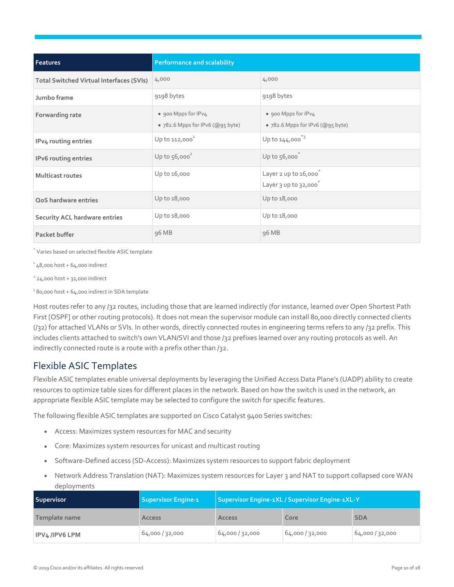| Features                                        | <b>Performance and scalability</b>                      |                                                         |  |
|-------------------------------------------------|---------------------------------------------------------|---------------------------------------------------------|--|
| <b>Total Switched Virtual Interfaces (SVIs)</b> | 4,000                                                   | 4,000                                                   |  |
| Jumbo frame                                     | 9198 bytes                                              | 9198 bytes                                              |  |
| Forwarding rate                                 | • 900 Mpps for IPv4<br>• 782.6 Mpps for IPv6 (@95 byte) | • 900 Mpps for IPv4<br>• 782.6 Mpps for IPv6 (@95 byte) |  |
| IPv4 routing entries                            | Up to $112,000^1$                                       | Up to $144,000^{*3}$                                    |  |
| <b>IPv6</b> routing entries                     | Up to $56,000^2$                                        | Up to 56,000 <sup>*</sup>                               |  |
| <b>Multicast routes</b>                         | Up to 16,000                                            | Layer 2 up to 16,000<br>Layer 3 up to 32,000            |  |
| QoS hardware entries                            | Up to 18,000                                            | Up to 18,000                                            |  |
| <b>Security ACL hardware entries</b>            | Up to 18,000                                            | Up to 18,000                                            |  |
| Packet buffer                                   | 96 MB                                                   | 96 MB                                                   |  |

\* Varies based on selected flexible ASIC template

 $148,000$  host +  $64,000$  indirect

 $224,000$  host + 32,000 indirect

<sup>3</sup> 80,000 host + 64,000 indirect in SDA template

Host routes refer to any /32 routes, including those that are learned indirectly (for instance, learned over Open Shortest Path First [OSPF] or other routing protocols). It does not mean the supervisor module can install 80,000 directly connected clients (/32) for attached VLANs or SVIs. In other words, directly connected routes in engineering terms refers to any /32 prefix. This includes clients attached to switch's own VLAN/SVI and those /32 prefixes learned over any routing protocols as well. An indirectly connected route is a route with a prefix other than /32.

## Flexible ASIC Templates

Flexible ASIC templates enable universal deployments by leveraging the Unified Access Data Plane's (UADP) ability to create resources to optimize table sizes for different places in the network. Based on how the switch is used in the network, an appropriate flexible ASIC template may be selected to configure the switch for specific features.

The following flexible ASIC templates are supported on Cisco Catalyst 9400 Series switches:

- Access: Maximizes system resources for MAC and security
- Core: Maximizes system resources for unicast and multicast routing
- Software-Defined access (SD-Access): Maximizes system resources to support fabric deployment
- Network Address Translation (NAT): Maximizes system resources for Layer 3 and NAT to support collapsed core WAN deployments

| <b>Supervisor</b> | <b>Supervisor Engine-1</b> | Supervisor Engine-1XL / Supervisor Engine-1XL-Y |               |               |
|-------------------|----------------------------|-------------------------------------------------|---------------|---------------|
| Template name     | <b>Access</b>              | <b>Access</b>                                   | Core          | <b>SDA</b>    |
| IPV4/IPV6 LPM     | 64,000/32,000              | 64,000/32,000                                   | 64,000/32,000 | 64,000/32,000 |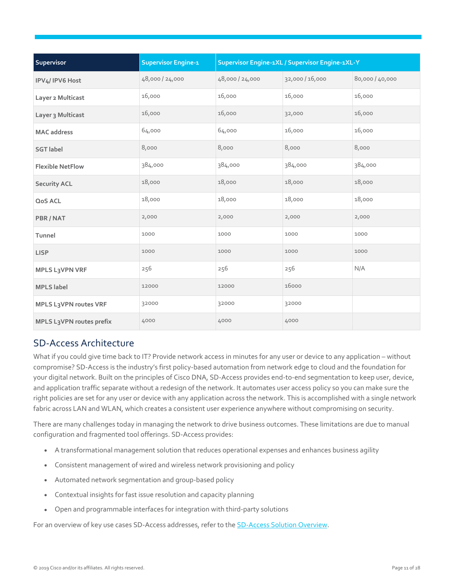| Supervisor               | <b>Supervisor Engine-1</b> |                 | Supervisor Engine-1XL / Supervisor Engine-1XL-Y |                 |
|--------------------------|----------------------------|-----------------|-------------------------------------------------|-----------------|
| IPV4/IPV6 Host           | 48,000/24,000              | 48,000 / 24,000 | 32,000/16,000                                   | 80,000 / 40,000 |
| Layer 2 Multicast        | 16,000                     | 16,000          | 16,000                                          | 16,000          |
| Layer 3 Multicast        | 16,000                     | 16,000          | 32,000                                          | 16,000          |
| <b>MAC</b> address       | 64,000                     | 64,000          | 16,000                                          | 16,000          |
| <b>SGT</b> label         | 8,000                      | 8,000           | 8,000                                           | 8,000           |
| <b>Flexible NetFlow</b>  | 384,000                    | 384,000         | 384,000                                         | 384,000         |
| <b>Security ACL</b>      | 18,000                     | 18,000          | 18,000                                          | 18,000          |
| QoS ACL                  | 18,000                     | 18,000          | 18,000                                          | 18,000          |
| PBR/NAT                  | 2,000                      | 2,000           | 2,000                                           | 2,000           |
| Tunnel                   | 1000                       | 1000            | 1000                                            | 1000            |
| <b>LISP</b>              | 1000                       | 1000            | 1000                                            | 1000            |
| <b>MPLS L3VPN VRF</b>    | 256                        | 256             | 256                                             | N/A             |
| <b>MPLS</b> label        | 12000                      | 12000           | 16000                                           |                 |
| MPLS L3VPN routes VRF    | 32000                      | 32000           | 32000                                           |                 |
| MPLS L3VPN routes prefix | 4000                       | 4000            | 4000                                            |                 |

## SD-Access Architecture

What if you could give time back to IT? Provide network access in minutes for any user or device to any application – without compromise? SD-Access is the industry's first policy-based automation from network edge to cloud and the foundation for your digital network. Built on the principles of Cisco DNA, SD-Access provides end-to-end segmentation to keep user, device, and application traffic separate without a redesign of the network. It automates user access policy so you can make sure the right policies are set for any user or device with any application across the network. This is accomplished with a single network fabric across LAN and WLAN, which creates a consistent user experience anywhere without compromising on security.

There are many challenges today in managing the network to drive business outcomes. These limitations are due to manual configuration and fragmented tool offerings. SD-Access provides:

- A transformational management solution that reduces operational expenses and enhances business agility
- Consistent management of wired and wireless network provisioning and policy
- Automated network segmentation and group-based policy
- Contextual insights for fast issue resolution and capacity planning
- Open and programmable interfaces for integration with third-party solutions

For an overview of key use cases SD-Access addresses, refer to the **SD-Access Solution Overview.**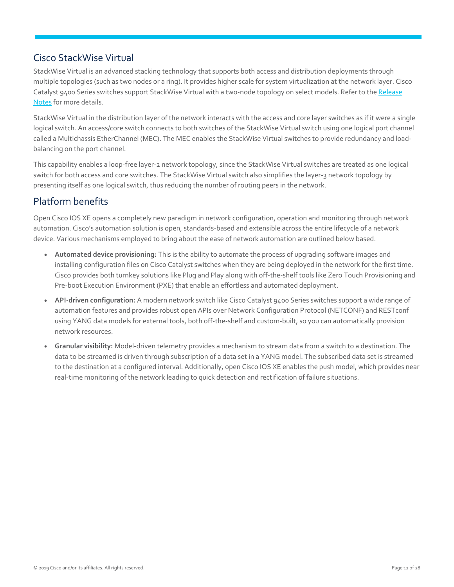## Cisco StackWise Virtual

StackWise Virtual is an advanced stacking technology that supports both access and distribution deployments through multiple topologies (such as two nodes or a ring). It provides higher scale for system virtualization at the network layer. Cisco Catalyst 9400 Series switches support StackWise Virtual with a two-node topology on select models. Refer to th[e Release](https://www.cisco.com/c/en/us/support/switches/catalyst-9400-series-switches/products-release-notes-list.html)  [Notes f](https://www.cisco.com/c/en/us/support/switches/catalyst-9400-series-switches/products-release-notes-list.html)or more details.

StackWise Virtual in the distribution layer of the network interacts with the access and core layer switches as if it were a single logical switch. An access/core switch connects to both switches of the StackWise Virtual switch using one logical port channel called a Multichassis EtherChannel (MEC). The MEC enables the StackWise Virtual switches to provide redundancy and loadbalancing on the port channel.

This capability enables a loop-free layer-2 network topology, since the StackWise Virtual switches are treated as one logical switch for both access and core switches. The StackWise Virtual switch also simplifies the layer-3 network topology by presenting itself as one logical switch, thus reducing the number of routing peers in the network.

## <span id="page-11-0"></span>Platform benefits

Open Cisco IOS XE opens a completely new paradigm in network configuration, operation and monitoring through network automation. Cisco's automation solution is open, standards-based and extensible across the entire lifecycle of a network device. Various mechanisms employed to bring about the ease of network automation are outlined below based.

- **Automated device provisioning:** This is the ability to automate the process of upgrading software images and installing configuration files on Cisco Catalyst switches when they are being deployed in the network for the first time. Cisco provides both turnkey solutions like Plug and Play along with off-the-shelf tools like Zero Touch Provisioning and Pre-boot Execution Environment (PXE) that enable an effortless and automated deployment.
- **API-driven configuration:** A modern network switch like Cisco Catalyst 9400 Series switches support a wide range of automation features and provides robust open APIs over Network Configuration Protocol (NETCONF) and RESTconf using YANG data models for external tools, both off-the-shelf and custom-built, so you can automatically provision network resources.
- Granular visibility: Model-driven telemetry provides a mechanism to stream data from a switch to a destination. The data to be streamed is driven through subscription of a data set in a YANG model. The subscribed data set is streamed to the destination at a configured interval. Additionally, open Cisco IOS XE enables the push model, which provides near real-time monitoring of the network leading to quick detection and rectification of failure situations.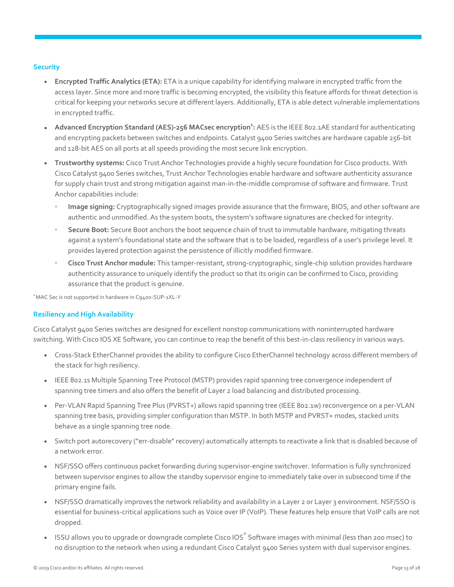#### **Security**

- **Encrypted Traffic Analytics (ETA):** ETA is a unique capability for identifying malware in encrypted traffic from the access layer. Since more and more traffic is becoming encrypted, the visibility this feature affords for threat detection is critical for keeping your networks secure at different layers. Additionally, ETA is able detect vulnerable implementations in encrypted traffic.
- **Advanced Encryption Standard (AES)-256 MACsec encryption<sup>1</sup>: AES is the IEEE 802.1AE standard for authenticating** and encrypting packets between switches and endpoints. Catalyst 9400 Series switches are hardware capable 256-bit and 128-bit AES on all ports at all speeds providing the most secure link encryption.
- **Trustworthy systems:** Cisco Trust Anchor Technologies provide a highly secure foundation for Cisco products. With Cisco Catalyst 9400 Series switches, Trust Anchor Technologies enable hardware and software authenticity assurance for supply chain trust and strong mitigation against man-in-the-middle compromise of software and firmware. Trust Anchor capabilities include:
	- **Image signing:** Cryptographically signed images provide assurance that the firmware, BIOS, and other software are authentic and unmodified. As the system boots, the system's software signatures are checked for integrity.
	- Secure Boot: Secure Boot anchors the boot sequence chain of trust to immutable hardware, mitigating threats against a system's foundational state and the software that is to be loaded, regardless of a user's privilege level. It provides layered protection against the persistence of illicitly modified firmware.
	- **Cisco Trust Anchor module:** This tamper-resistant, strong-cryptographic, single-chip solution provides hardware authenticity assurance to uniquely identify the product so that its origin can be confirmed to Cisco, providing assurance that the product is genuine.

<sup>1</sup>MAC Sec is not supported in hardware in C9400-SUP-1XL-Y

#### **Resiliency and High Availability**

Cisco Catalyst 9400 Series switches are designed for excellent nonstop communications with noninterrupted hardware switching. With Cisco IOS XE Software, you can continue to reap the benefit of this best-in-class resiliency in various ways.

- Cross-Stack EtherChannel provides the ability to configure Cisco EtherChannel technology across different members of the stack for high resiliency.
- IEEE 802.1s Multiple Spanning Tree Protocol (MSTP) provides rapid spanning tree convergence independent of spanning tree timers and also offers the benefit of Layer 2 load balancing and distributed processing.
- Per-VLAN Rapid Spanning Tree Plus (PVRST+) allows rapid spanning tree (IEEE 802.1w) reconvergence on a per-VLAN spanning tree basis, providing simpler configuration than MSTP. In both MSTP and PVRST+ modes, stacked units behave as a single spanning tree node.
- Switch port autorecovery ("err-disable" recovery) automatically attempts to reactivate a link that is disabled because of a network error.
- NSF/SSO offers continuous packet forwarding during supervisor-engine switchover. Information is fully synchronized between supervisor engines to allow the standby supervisor engine to immediately take over in subsecond time if the primary engine fails.
- NSF/SSO dramatically improves the network reliability and availability in a Layer 2 or Layer 3 environment. NSF/SSO is essential for business-critical applications such as Voice over IP (VoIP). These features help ensure that VoIP calls are not dropped.
- ISSU allows you to upgrade or downgrade complete Cisco IOS® Software images with minimal (less than 200 msec) to no disruption to the network when using a redundant Cisco Catalyst 9400 Series system with dual supervisor engines.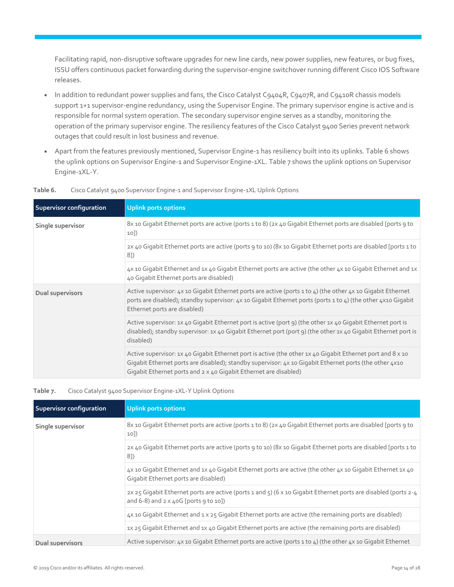Facilitating rapid, non-disruptive software upgrades for new line cards, new power supplies, new features, or bug fixes, ISSU offers continuous packet forwarding during the supervisor-engine switchover running different Cisco IOS Software releases.

- In addition to redundant power supplies and fans, the Cisco Catalyst C9404R, C9407R, and C9410R chassis models support 1+1 supervisor-engine redundancy, using the Supervisor Engine. The primary supervisor engine is active and is responsible for normal system operation. The secondary supervisor engine serves as a standby, monitoring the operation of the primary supervisor engine. The resiliency features of the Cisco Catalyst 9400 Series prevent network outages that could result in lost business and revenue.
- Apart from the features previously mentioned, Supervisor Engine-1 has resiliency built into its uplinks. Table 6 shows the uplink options on Supervisor Engine-1 and Supervisor Engine-1XL. Table 7 shows the uplink options on Supervisor Engine-1XL-Y.

| <b>Supervisor configuration</b> | <b>Uplink ports options</b>                                                                                                                                                                                                                                                              |
|---------------------------------|------------------------------------------------------------------------------------------------------------------------------------------------------------------------------------------------------------------------------------------------------------------------------------------|
| Single supervisor               | 8x 10 Gigabit Ethernet ports are active (ports 1 to 8) (2x 40 Gigabit Ethernet ports are disabled [ports 9 to<br>10]                                                                                                                                                                     |
|                                 | 2x 40 Gigabit Ethernet ports are active (ports 9 to 10) (8x 10 Gigabit Ethernet ports are disabled [ports 1 to<br>8])                                                                                                                                                                    |
|                                 | 4x 10 Gigabit Ethernet and 1x 40 Gigabit Ethernet ports are active (the other 4x 10 Gigabit Ethernet and 1x<br>40 Gigabit Ethernet ports are disabled)                                                                                                                                   |
| Dual supervisors                | Active supervisor: 4x 10 Gigabit Ethernet ports are active (ports 1 to 4) (the other 4x 10 Gigabit Ethernet<br>ports are disabled); standby supervisor: 4x 10 Gigabit Ethernet ports (ports 1 to 4) (the other 4x10 Gigabit<br>Ethernet ports are disabled)                              |
|                                 | Active supervisor: 1x 40 Gigabit Ethernet port is active (port 9) (the other 1x 40 Gigabit Ethernet port is<br>disabled); standby supervisor: 1x 40 Gigabit Ethernet port (port 9) (the other 1x 40 Gigabit Ethernet port is<br>disabled)                                                |
|                                 | Active supervisor: 1x 40 Gigabit Ethernet port is active (the other 1x 40 Gigabit Ethernet port and 8 x 10<br>Gigabit Ethernet ports are disabled); standby supervisor: 4x 10 Gigabit Ethernet ports (the other 4x10<br>Gigabit Ethernet ports and 2 x 40 Gigabit Ethernet are disabled) |

#### **Table 6.** Cisco Catalyst 9400 Supervisor Engine-1 and Supervisor Engine-1XL Uplink Options

#### **Table 7.** Cisco Catalyst 9400 Supervisor Engine-1XL-Y Uplink Options

| <b>Supervisor configuration</b> | Uplink ports options                                                                                                                                                          |
|---------------------------------|-------------------------------------------------------------------------------------------------------------------------------------------------------------------------------|
| Single supervisor               | 8x 10 Gigabit Ethernet ports are active (ports 1 to 8) (2x 40 Gigabit Ethernet ports are disabled [ports 9 to<br>10]                                                          |
|                                 | 2x 40 Gigabit Ethernet ports are active (ports 9 to 10) (8x 10 Gigabit Ethernet ports are disabled [ports 1 to<br>81)                                                         |
|                                 | 4x 10 Gigabit Ethernet and 1x 40 Gigabit Ethernet ports are active (the other 4x 10 Gigabit Ethernet 1x 40<br>Gigabit Ethernet ports are disabled)                            |
|                                 | 2x 25 Gigabit Ethernet ports are active (ports 1 and 5) (6 x 10 Gigabit Ethernet ports are disabled (ports 2-4<br>and $6-8$ ) and $2 \times 40G$ [ports $9 \text{ to } 10$ ]) |
|                                 | 4x 10 Gigabit Ethernet and 1 x 25 Gigabit Ethernet ports are active (the remaining ports are disabled)                                                                        |
|                                 | 1x 25 Gigabit Ethernet and 1x 40 Gigabit Ethernet ports are active (the remaining ports are disabled)                                                                         |
| <b>Dual supervisors</b>         | Active supervisor: $4x$ 10 Gigabit Ethernet ports are active (ports 1 to $4$ ) (the other $4x$ 10 Gigabit Ethernet                                                            |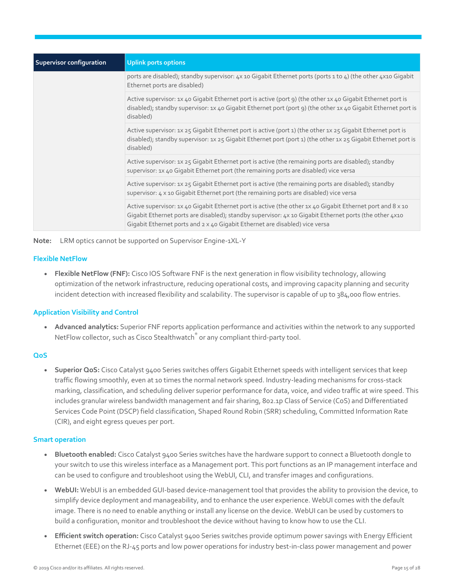| Supervisor configuration | <b>Uplink ports options</b>                                                                                                                                                                                                                                                                         |
|--------------------------|-----------------------------------------------------------------------------------------------------------------------------------------------------------------------------------------------------------------------------------------------------------------------------------------------------|
|                          | ports are disabled); standby supervisor: 4x 10 Gigabit Ethernet ports (ports 1 to 4) (the other 4x10 Gigabit<br>Ethernet ports are disabled)                                                                                                                                                        |
|                          | Active supervisor: 1x 40 Gigabit Ethernet port is active (port 9) (the other 1x 40 Gigabit Ethernet port is<br>disabled); standby supervisor: 1x 40 Gigabit Ethernet port (port 9) (the other 1x 40 Gigabit Ethernet port is<br>disabled)                                                           |
|                          | Active supervisor: 1x 25 Gigabit Ethernet port is active (port 1) (the other 1x 25 Gigabit Ethernet port is<br>disabled); standby supervisor: 1x 25 Gigabit Ethernet port (port 1) (the other 1x 25 Gigabit Ethernet port is<br>disabled)                                                           |
|                          | Active supervisor: 1x 25 Gigabit Ethernet port is active (the remaining ports are disabled); standby<br>supervisor: 1x 40 Gigabit Ethernet port (the remaining ports are disabled) vice versa                                                                                                       |
|                          | Active supervisor: 1x 25 Gigabit Ethernet port is active (the remaining ports are disabled); standby<br>supervisor: 4 x 10 Gigabit Ethernet port (the remaining ports are disabled) vice versa                                                                                                      |
|                          | Active supervisor: 1x 40 Gigabit Ethernet port is active (the other 1x 40 Gigabit Ethernet port and 8 x 10<br>Gigabit Ethernet ports are disabled); standby supervisor: 4x 10 Gigabit Ethernet ports (the other 4x10<br>Gigabit Ethernet ports and 2 x 40 Gigabit Ethernet are disabled) vice versa |

**Note:** LRM optics cannot be supported on Supervisor Engine-1XL-Y

#### **Flexible NetFlow**

● **Flexible NetFlow (FNF):** Cisco IOS Software FNF is the next generation in flow visibility technology, allowing optimization of the network infrastructure, reducing operational costs, and improving capacity planning and security incident detection with increased flexibility and scalability. The supervisor is capable of up to 384,000 flow entries.

#### **Application Visibility and Control**

● **Advanced analytics:** Superior FNF reports application performance and activities within the network to any supported NetFlow collector, such as Cisco Stealthwatch<sup>®</sup> or any compliant third-party tool.

#### **QoS**

● **Superior QoS:** Cisco Catalyst 9400 Series switches offers Gigabit Ethernet speeds with intelligent services that keep traffic flowing smoothly, even at 10 times the normal network speed. Industry-leading mechanisms for cross-stack marking, classification, and scheduling deliver superior performance for data, voice, and video traffic at wire speed. This includes granular wireless bandwidth management and fair sharing, 802.1p Class of Service (CoS) and Differentiated Services Code Point (DSCP) field classification, Shaped Round Robin (SRR) scheduling, Committed Information Rate (CIR), and eight egress queues per port.

#### **Smart operation**

- **Bluetooth enabled:** Cisco Catalyst 9400 Series switches have the hardware support to connect a Bluetooth dongle to your switch to use this wireless interface as a Management port. This port functions as an IP management interface and can be used to configure and troubleshoot using the WebUI, CLI, and transfer images and configurations.
- **WebUI:** WebUI is an embedded GUI-based device-management tool that provides the ability to provision the device, to simplify device deployment and manageability, and to enhance the user experience. WebUI comes with the default image. There is no need to enable anything or install any license on the device. WebUI can be used by customers to build a configuration, monitor and troubleshoot the device without having to know how to use the CLI.
- **Efficient switch operation:** Cisco Catalyst 9400 Series switches provide optimum power savings with Energy Efficient Ethernet (EEE) on the RJ-45 ports and low power operations for industry best-in-class power management and power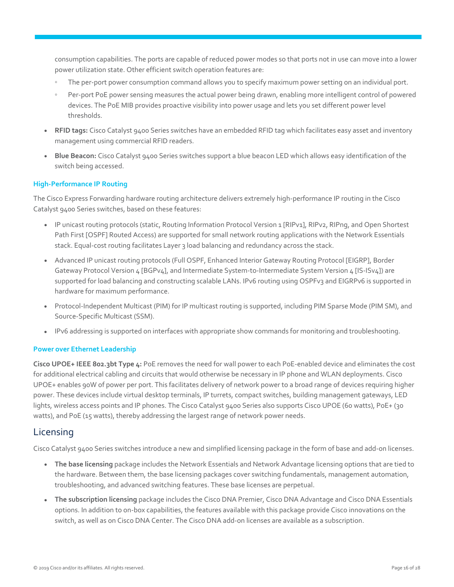consumption capabilities. The ports are capable of reduced power modes so that ports not in use can move into a lower power utilization state. Other efficient switch operation features are:

- The per-port power consumption command allows you to specify maximum power setting on an individual port.
- Per-port PoE power sensing measures the actual power being drawn, enabling more intelligent control of powered devices. The PoE MIB provides proactive visibility into power usage and lets you set different power level thresholds.
- **RFID tags:** Cisco Catalyst 9400 Series switches have an embedded RFID tag which facilitates easy asset and inventory management using commercial RFID readers.
- **Blue Beacon:** Cisco Catalyst 9400 Series switches support a blue beacon LED which allows easy identification of the switch being accessed.

#### **High-Performance IP Routing**

The Cisco Express Forwarding hardware routing architecture delivers extremely high-performance IP routing in the Cisco Catalyst 9400 Series switches, based on these features:

- IP unicast routing protocols (static, Routing Information Protocol Version 1 [RIPv1], RIPv2, RIPng, and Open Shortest Path First [OSPF] Routed Access) are supported for small network routing applications with the Network Essentials stack. Equal-cost routing facilitates Layer 3 load balancing and redundancy across the stack.
- Advanced IP unicast routing protocols (Full OSPF, Enhanced Interior Gateway Routing Protocol [EIGRP], Border Gateway Protocol Version 4 [BGPv4], and Intermediate System-to-Intermediate System Version 4 [IS-ISv4]) are supported for load balancing and constructing scalable LANs. IPv6 routing using OSPFv3 and EIGRPv6 is supported in hardware for maximum performance.
- Protocol-Independent Multicast (PIM) for IP multicast routing is supported, including PIM Sparse Mode (PIM SM), and Source-Specific Multicast (SSM).
- IPv6 addressing is supported on interfaces with appropriate show commands for monitoring and troubleshooting.

#### **Power over Ethernet Leadership**

**Cisco UPOE+ IEEE 802.3bt Type 4:** PoE removes the need for wall power to each PoE-enabled device and eliminates the cost for additional electrical cabling and circuits that would otherwise be necessary in IP phone and WLAN deployments. Cisco UPOE+ enables 90W of power per port. This facilitates delivery of network power to a broad range of devices requiring higher power. These devices include virtual desktop terminals, IP turrets, compact switches, building management gateways, LED lights, wireless access points and IP phones. The Cisco Catalyst 9400 Series also supports Cisco UPOE (60 watts), PoE+ (30 watts), and PoE (15 watts), thereby addressing the largest range of network power needs.

#### <span id="page-15-0"></span>Licensing

Cisco Catalyst 9400 Series switches introduce a new and simplified licensing package in the form of base and add-on licenses.

- **The base licensing** package includes the Network Essentials and Network Advantage licensing options that are tied to the hardware. Between them, the base licensing packages cover switching fundamentals, management automation, troubleshooting, and advanced switching features. These base licenses are perpetual.
- **The subscription licensing** package includes the Cisco DNA Premier, Cisco DNA Advantage and Cisco DNA Essentials options. In addition to on-box capabilities, the features available with this package provide Cisco innovations on the switch, as well as on Cisco DNA Center. The Cisco DNA add-on licenses are available as a subscription.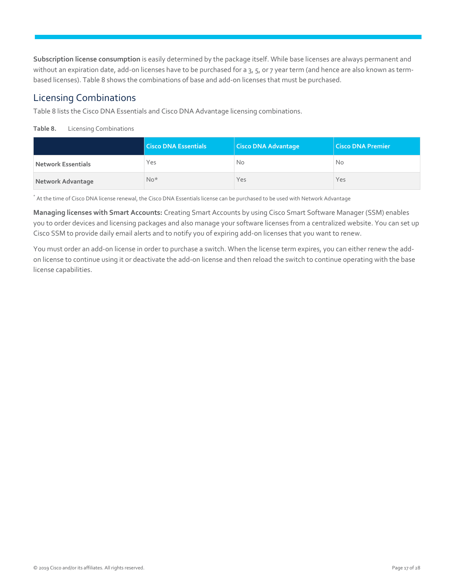**Subscription license consumption** is easily determined by the package itself. While base licenses are always permanent and without an expiration date, add-on licenses have to be purchased for a 3, 5, or 7 year term (and hence are also known as termbased licenses). Table 8 shows the combinations of base and add-on licenses that must be purchased.

### Licensing Combinations

Table 8 lists the Cisco DNA Essentials and Cisco DNA Advantage licensing combinations.

<span id="page-16-0"></span>**Table 8.** Licensing Combinations

|                           | <b>Cisco DNA Essentials</b> | <b>Cisco DNA Advantage</b> | Cisco DNA Premier |
|---------------------------|-----------------------------|----------------------------|-------------------|
| <b>Network Essentials</b> | Yes                         | No                         | No.               |
| Network Advantage         | $No*$                       | Yes                        | Yes               |

\* At the time of Cisco DNA license renewal, the Cisco DNA Essentials license can be purchased to be used with Network Advantage

**Managing licenses with Smart Accounts:** Creating Smart Accounts by using Cisco Smart Software Manager (SSM) enables you to order devices and licensing packages and also manage your software licenses from a centralized website. You can set up Cisco SSM to provide daily email alerts and to notify you of expiring add-on licenses that you want to renew.

You must order an add-on license in order to purchase a switch. When the license term expires, you can either renew the addon license to continue using it or deactivate the add-on license and then reload the switch to continue operating with the base license capabilities.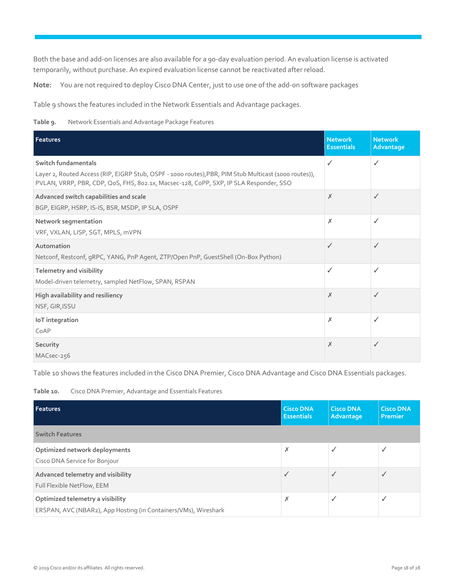Both the base and add-on licenses are also available for a 90-day evaluation period. An evaluation license is activated temporarily, without purchase. An expired evaluation license cannot be reactivated after reload.

**Note:** You are not required to deploy Cisco DNA Center, just to use one of the add-on software packages

Table 9 shows the features included in the Network Essentials and Advantage packages.

**Table 9.** Network Essentials and Advantage Package Features

| <b>Features</b>                                                                                                                                                                                                       | <b>Network</b><br><b>Essentials</b> | <b>Network</b><br>Advantage |
|-----------------------------------------------------------------------------------------------------------------------------------------------------------------------------------------------------------------------|-------------------------------------|-----------------------------|
| Switch fundamentals<br>Layer 2, Routed Access (RIP, EIGRP Stub, OSPF - 1000 routes), PBR, PIM Stub Multicast (1000 routes)),<br>PVLAN, VRRP, PBR, CDP, QoS, FHS, 8o2.1x, Macsec-128, CoPP, SXP, IP SLA Responder, SSO | ✓                                   | ✓                           |
| Advanced switch capabilities and scale<br>BGP, EIGRP, HSRP, IS-IS, BSR, MSDP, IP SLA, OSPF                                                                                                                            | X                                   | ✓                           |
| Network segmentation<br>VRF, VXLAN, LISP, SGT, MPLS, mVPN                                                                                                                                                             | X                                   | ✓                           |
| Automation<br>Netconf, Restconf, gRPC, YANG, PnP Agent, ZTP/Open PnP, GuestShell (On-Box Python)                                                                                                                      | ℐ                                   | ✓                           |
| <b>Telemetry and visibility</b><br>Model-driven telemetry, sampled NetFlow, SPAN, RSPAN                                                                                                                               | ✓                                   | ✓                           |
| High availability and resiliency<br>NSF, GIR, ISSU                                                                                                                                                                    | X                                   | ✓                           |
| IoT integration<br>CoAP                                                                                                                                                                                               | X                                   | ✓                           |
| Security<br>MACsec-256                                                                                                                                                                                                | X                                   | ✓                           |

Table 10 shows the features included in the Cisco DNA Premier, Cisco DNA Advantage and Cisco DNA Essentials packages.

<span id="page-17-0"></span>**Table 10.** Cisco DNA Premier, Advantage and Essentials Features

| Features                                                                                            | <b>Cisco DNA</b><br><b>Essentials</b> | <b>Cisco DNA</b><br>Advantage | <b>Cisco DNA</b><br><b>Premier</b> |
|-----------------------------------------------------------------------------------------------------|---------------------------------------|-------------------------------|------------------------------------|
| <b>Switch Features</b>                                                                              |                                       |                               |                                    |
| Optimized network deployments<br>Cisco DNA Service for Bonjour                                      | x                                     |                               |                                    |
| Advanced telemetry and visibility<br>Full Flexible NetFlow, EEM                                     |                                       |                               |                                    |
| Optimized telemetry a visibility<br>ERSPAN, AVC (NBAR2), App Hosting (in Containers/VMs), Wireshark | ᄉ                                     |                               |                                    |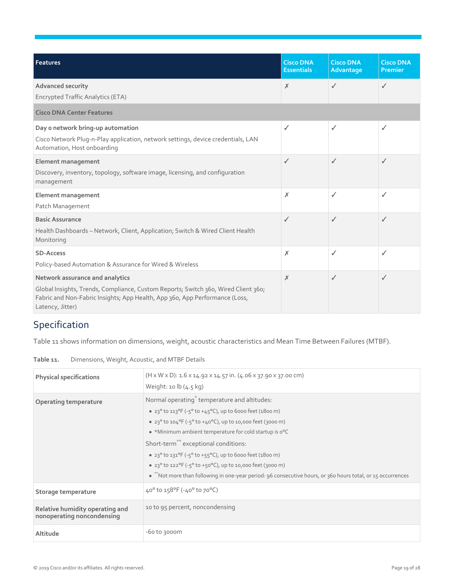| Features                                                                                                                                                                                                                 | <b>Cisco DNA</b><br><b>Essentials</b> | <b>Cisco DNA</b><br>Advantage | <b>Cisco DNA</b><br>Premier |
|--------------------------------------------------------------------------------------------------------------------------------------------------------------------------------------------------------------------------|---------------------------------------|-------------------------------|-----------------------------|
| Advanced security<br><b>Encrypted Traffic Analytics (ETA)</b>                                                                                                                                                            | X                                     | ✓                             | ✓                           |
| <b>Cisco DNA Center Features</b>                                                                                                                                                                                         |                                       |                               |                             |
| Day o network bring-up automation<br>Cisco Network Plug-n-Play application, network settings, device credentials, LAN<br>Automation, Host onboarding                                                                     | $\checkmark$                          | ✓                             | ✓                           |
| <b>Element management</b><br>Discovery, inventory, topology, software image, licensing, and configuration<br>management                                                                                                  | ✓                                     | ✓                             | ℐ                           |
| <b>Element management</b><br>Patch Management                                                                                                                                                                            | Х                                     | ✓                             | ✓                           |
| <b>Basic Assurance</b><br>Health Dashboards - Network, Client, Application; Switch & Wired Client Health<br>Monitoring                                                                                                   | ✓                                     | ✓                             | ✓                           |
| <b>SD-Access</b><br>Policy-based Automation & Assurance for Wired & Wireless                                                                                                                                             | X                                     | ✓                             | ✓                           |
| Network assurance and analytics<br>Global Insights, Trends, Compliance, Custom Reports; Switch 360, Wired Client 360;<br>Fabric and Non-Fabric Insights; App Health, App 360, App Performance (Loss,<br>Latency, Jitter) | X                                     | ✓                             | ✓                           |

## <span id="page-18-0"></span>Specification

Table 11 shows information on dimensions, weight, acoustic characteristics and Mean Time Between Failures (MTBF).

| Table 11. |  |  | Dimensions, Weight, Acoustic, and MTBF Details |
|-----------|--|--|------------------------------------------------|
|-----------|--|--|------------------------------------------------|

| <b>Physical specifications</b>                                | $(H \times W \times D)$ : 1.6 x 14.92 x 14.57 in. (4.06 x 37.90 x 37.00 cm)<br>Weight: 10 $\lfloor 4.5 \log n \rfloor$                                                                                                                                                                                                                                                                                                                                                                                                                               |
|---------------------------------------------------------------|------------------------------------------------------------------------------------------------------------------------------------------------------------------------------------------------------------------------------------------------------------------------------------------------------------------------------------------------------------------------------------------------------------------------------------------------------------------------------------------------------------------------------------------------------|
| Operating temperature                                         | Normal operating <sup>*</sup> temperature and altitudes:<br>• 23° to 113°F ( $-5$ ° to $+45$ °C), up to 6000 feet (1800 m)<br>• 23° to 104°F (-5° to +40°C), up to 10,000 feet (3000 m)<br>• *Minimum ambient temperature for cold startup is o°C<br>Short-term <sup>**</sup> exceptional conditions:<br>• 23° to 131°F ( $-5$ ° to $+55$ °C), up to 6000 feet (1800 m)<br>• 23° to 122°F (-5° to +50°C), up to 10,000 feet (3000 m)<br>• ** Not more than following in one-year period: 96 consecutive hours, or 360 hours total, or 15 occurrences |
| Storage temperature                                           | 40° to 158°F (-40° to 70°C)                                                                                                                                                                                                                                                                                                                                                                                                                                                                                                                          |
| Relative humidity operating and<br>nonoperating noncondensing | 10 to 95 percent, noncondensing                                                                                                                                                                                                                                                                                                                                                                                                                                                                                                                      |
| Altitude                                                      | $-60$ to 3000m                                                                                                                                                                                                                                                                                                                                                                                                                                                                                                                                       |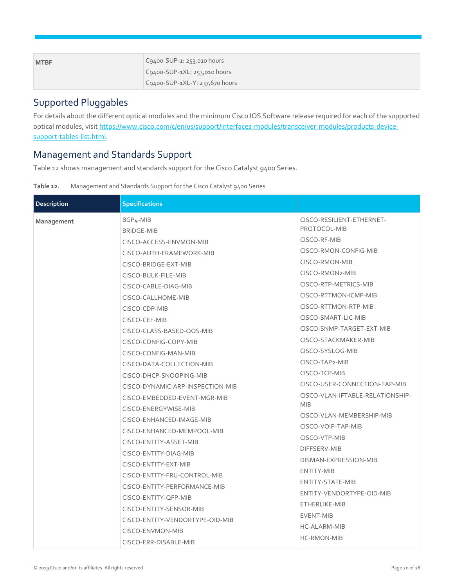| <b>MTBF</b> | C9400-SUP-1: 253,010 hours           |
|-------------|--------------------------------------|
|             | $C9400$ -SUP-1XL: 253,010 hours      |
|             | $C_{94}$ 00-SUP-1XL-Y: 237,670 hours |

## Supported Pluggables

For details about the different optical modules and the minimum Cisco IOS Software release required for each of the supported optical modules, visit [https://www.cisco.com/c/en/us/support/interfaces-modules/transceiver-modules/products-device](https://www.cisco.com/c/en/us/support/interfaces-modules/transceiver-modules/products-device-support-tables-list.html)[support-tables-list.html.](https://www.cisco.com/c/en/us/support/interfaces-modules/transceiver-modules/products-device-support-tables-list.html)

## Management and Standards Support

Table 12 shows management and standards support for the Cisco Catalyst 9400 Series.

| Table 12. | Management and Standards Support for the Cisco Catalyst 9400 Series |  |  |
|-----------|---------------------------------------------------------------------|--|--|
|           |                                                                     |  |  |

| <b>Description</b> | <b>Specifications</b>                                                                                                                                                                                                                                                                                                                                                                                                              |                                                                                                                                                                                                                                                                                                                                          |
|--------------------|------------------------------------------------------------------------------------------------------------------------------------------------------------------------------------------------------------------------------------------------------------------------------------------------------------------------------------------------------------------------------------------------------------------------------------|------------------------------------------------------------------------------------------------------------------------------------------------------------------------------------------------------------------------------------------------------------------------------------------------------------------------------------------|
| Management         | BGP <sub>4</sub> -MIB<br><b>BRIDGE-MIB</b><br>CISCO-ACCESS-ENVMON-MIB<br>CISCO-AUTH-FRAMEWORK-MIB<br>CISCO-BRIDGE-EXT-MIB<br>CISCO-BULK-FILE-MIB<br>CISCO-CABLE-DIAG-MIB<br>CISCO-CALLHOME-MIB<br>CISCO-CDP-MIB<br>CISCO-CEF-MIB<br>CISCO-CLASS-BASED-QOS-MIB<br>CISCO-CONFIG-COPY-MIB<br>CISCO-CONFIG-MAN-MIB<br>CISCO-DATA-COLLECTION-MIB                                                                                        | CISCO-RESILIENT-ETHERNET-<br>PROTOCOL-MIB<br>CISCO-RF-MIB<br>CISCO-RMON-CONFIG-MIB<br>CISCO-RMON-MIB<br>CISCO-RMON2-MIB<br>CISCO-RTP-METRICS-MIB<br>CISCO-RTTMON-ICMP-MIB<br>CISCO-RTTMON-RTP-MIB<br>CISCO-SMART-LIC-MIB<br>CISCO-SNMP-TARGET-EXT-MIB<br>CISCO-STACKMAKER-MIB<br>CISCO-SYSLOG-MIB<br>CISCO-TAP2-MIB                      |
|                    | CISCO-DHCP-SNOOPING-MIB<br>CISCO-DYNAMIC-ARP-INSPECTION-MIB<br>CISCO-EMBEDDED-EVENT-MGR-MIB<br>CISCO-ENERGYWISE-MIB<br>CISCO-ENHANCED-IMAGE-MIB<br>CISCO-ENHANCED-MEMPOOL-MIB<br>CISCO-ENTITY-ASSET-MIB<br>CISCO-ENTITY-DIAG-MIB<br>CISCO-ENTITY-EXT-MIB<br>CISCO-ENTITY-FRU-CONTROL-MIB<br>CISCO-ENTITY-PERFORMANCE-MIB<br>CISCO-ENTITY-QFP-MIB<br>CISCO-ENTITY-SENSOR-MIB<br>CISCO-ENTITY-VENDORTYPE-OID-MIB<br>CISCO-ENVMON-MIB | CISCO-TCP-MIB<br>CISCO-USER-CONNECTION-TAP-MIB<br>CISCO-VLAN-IFTABLE-RELATIONSHIP-<br><b>MIB</b><br>CISCO-VLAN-MEMBERSHIP-MIB<br>CISCO-VOIP-TAP-MIB<br>CISCO-VTP-MIB<br>DIFFSERV-MIB<br>DISMAN-EXPRESSION-MIB<br><b>ENTITY-MIB</b><br>ENTITY-STATE-MIB<br>ENTITY-VENDORTYPE-OID-MIB<br>ETHERLIKE-MIB<br>EVENT-MIB<br><b>HC-ALARM-MIB</b> |
|                    | CISCO-ERR-DISABLE-MIB                                                                                                                                                                                                                                                                                                                                                                                                              | <b>HC-RMON-MIB</b>                                                                                                                                                                                                                                                                                                                       |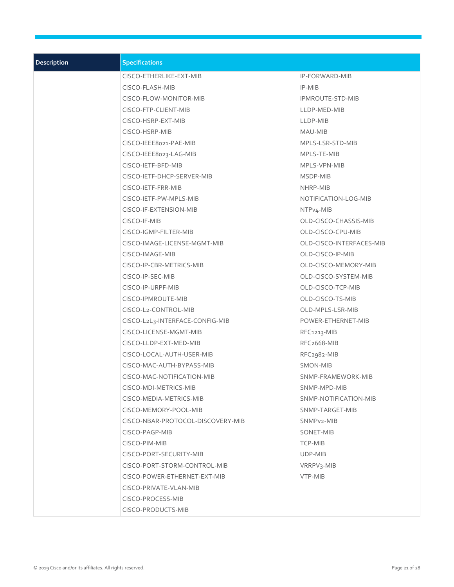| <b>Description</b> | <b>Specifications</b>             |                          |
|--------------------|-----------------------------------|--------------------------|
|                    | CISCO-ETHERLIKE-EXT-MIB           | <b>IP-FORWARD-MIB</b>    |
|                    | CISCO-FLASH-MIB                   | IP-MIB                   |
|                    | CISCO-FLOW-MONITOR-MIB            | <b>IPMROUTE-STD-MIB</b>  |
|                    | CISCO-FTP-CLIENT-MIB              | LLDP-MED-MIB             |
|                    | CISCO-HSRP-EXT-MIB                | LLDP-MIB                 |
|                    | CISCO-HSRP-MIB                    | MAU-MIB                  |
|                    | CISCO-IEEE8021-PAE-MIB            | MPLS-LSR-STD-MIB         |
|                    | CISCO-IEEE8023-LAG-MIB            | MPLS-TE-MIB              |
|                    | CISCO-IETF-BFD-MIB                | MPLS-VPN-MIB             |
|                    | CISCO-IETF-DHCP-SERVER-MIB        | MSDP-MIB                 |
|                    | CISCO-IETF-FRR-MIB                | NHRP-MIB                 |
|                    | CISCO-IETF-PW-MPLS-MIB            | NOTIFICATION-LOG-MIB     |
|                    | CISCO-IF-EXTENSION-MIB            | NTPv4-MIB                |
|                    | CISCO-IF-MIB                      | OLD-CISCO-CHASSIS-MIB    |
|                    | CISCO-IGMP-FILTER-MIB             | OLD-CISCO-CPU-MIB        |
|                    | CISCO-IMAGE-LICENSE-MGMT-MIB      | OLD-CISCO-INTERFACES-MIB |
|                    | CISCO-IMAGE-MIB                   | OLD-CISCO-IP-MIB         |
|                    | CISCO-IP-CBR-METRICS-MIB          | OLD-CISCO-MEMORY-MIB     |
|                    | CISCO-IP-SEC-MIB                  | OLD-CISCO-SYSTEM-MIB     |
|                    | CISCO-IP-URPF-MIB                 | OLD-CISCO-TCP-MIB        |
|                    | CISCO-IPMROUTE-MIB                | OLD-CISCO-TS-MIB         |
|                    | CISCO-L2-CONTROL-MIB              | OLD-MPLS-LSR-MIB         |
|                    | CISCO-L2L3-INTERFACE-CONFIG-MIB   | POWER-ETHERNET-MIB       |
|                    | CISCO-LICENSE-MGMT-MIB            | RFC1213-MIB              |
|                    | CISCO-LLDP-EXT-MED-MIB            | RFC <sub>2668</sub> -MIB |
|                    | CISCO-LOCAL-AUTH-USER-MIB         | RFC2982-MIB              |
|                    | CISCO-MAC-AUTH-BYPASS-MIB         | <b>SMON-MIB</b>          |
|                    | CISCO-MAC-NOTIFICATION-MIB        | SNMP-FRAMEWORK-MIB       |
|                    | CISCO-MDI-METRICS-MIB             | SNMP-MPD-MIB             |
|                    | CISCO-MEDIA-METRICS-MIB           | SNMP-NOTIFICATION-MIB    |
|                    | CISCO-MEMORY-POOL-MIB             | SNMP-TARGET-MIB          |
|                    | CISCO-NBAR-PROTOCOL-DISCOVERY-MIB | SNMP <sub>v2</sub> -MIB  |
|                    | CISCO-PAGP-MIB                    | SONET-MIB                |
|                    | CISCO-PIM-MIB                     | TCP-MIB                  |
|                    | CISCO-PORT-SECURITY-MIB           | UDP-MIB                  |
|                    | CISCO-PORT-STORM-CONTROL-MIB      | VRRPV3-MIB               |
|                    | CISCO-POWER-ETHERNET-EXT-MIB      | VTP-MIB                  |
|                    | CISCO-PRIVATE-VLAN-MIB            |                          |
|                    | CISCO-PROCESS-MIB                 |                          |
|                    | CISCO-PRODUCTS-MIB                |                          |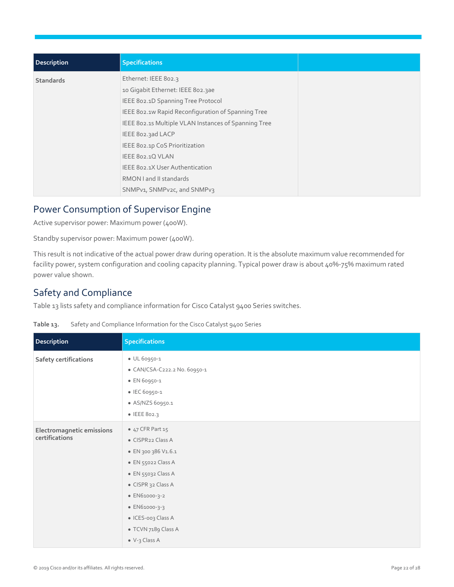| <b>Description</b> | <b>Specifications</b>                                |
|--------------------|------------------------------------------------------|
| <b>Standards</b>   | Ethernet: IEEE 802.3                                 |
|                    | 10 Gigabit Ethernet: IEEE 802.3ae                    |
|                    | IEEE 802.1D Spanning Tree Protocol                   |
|                    | IEEE 802.1w Rapid Reconfiguration of Spanning Tree   |
|                    | IEEE 802.15 Multiple VLAN Instances of Spanning Tree |
|                    | IEEE 802.3ad LACP                                    |
|                    | IEEE 802.1p CoS Prioritization                       |
|                    | IEEE 802.1Q VLAN                                     |
|                    | IEEE 802.1X User Authentication                      |
|                    | RMON I and II standards                              |
|                    | SNMPv1, SNMPv2c, and SNMPv3                          |

## Power Consumption of Supervisor Engine

Active supervisor power: Maximum power (400W).

Standby supervisor power: Maximum power (400W).

This result is not indicative of the actual power draw during operation. It is the absolute maximum value recommended for facility power, system configuration and cooling capacity planning. Typical power draw is about 40%-75% maximum rated power value shown.

## Safety and Compliance

Table 13 lists safety and compliance information for Cisco Catalyst 9400 Series switches.

| Description                                 | <b>Specifications</b>        |
|---------------------------------------------|------------------------------|
| Safety certifications                       | • UL 60950-1                 |
|                                             | • CAN/CSA-C222.2 No. 60950-1 |
|                                             | • EN 60950-1                 |
|                                             | • IEC 60950-1                |
|                                             | • AS/NZS 60950.1             |
|                                             | • IEEE 802.3                 |
| Electromagnetic emissions<br>certifications | • 47 CFR Part 15             |
|                                             | • CISPR22 Class A            |
|                                             | • EN 300 386 V1.6.1          |
|                                             | • EN 55022 Class A           |
|                                             | • EN 55032 Class A           |
|                                             | • CISPR 32 Class A           |
|                                             | • EN61000-3-2                |
|                                             | • EN61000-3-3                |
|                                             | • ICES-003 Class A           |
|                                             | • TCVN 7189 Class A          |
|                                             | $\bullet$ V-3 Class A        |

**Table 13.** Safety and Compliance Information for the Cisco Catalyst 9400 Series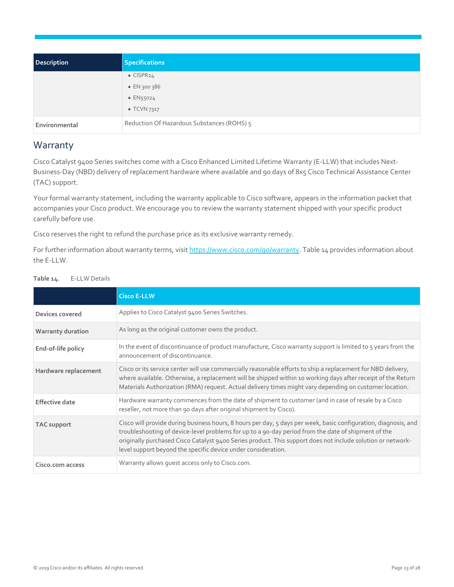| <b>Description</b> | <b>Specifications</b>                      |
|--------------------|--------------------------------------------|
|                    | $\bullet$ CISPR <sub>24</sub>              |
|                    | • EN 300 386                               |
|                    | $\bullet$ EN55024                          |
|                    | $\bullet$ TCVN 7317                        |
| Environmental      | Reduction Of Hazardous Substances (ROHS) 5 |

## <span id="page-22-0"></span>Warranty

Cisco Catalyst 9400 Series switches come with a Cisco Enhanced Limited Lifetime Warranty (E-LLW) that includes Next-Business-Day (NBD) delivery of replacement hardware where available and 90 days of 8x5 Cisco Technical Assistance Center (TAC) support.

Your formal warranty statement, including the warranty applicable to Cisco software, appears in the information packet that accompanies your Cisco product. We encourage you to review the warranty statement shipped with your specific product carefully before use.

Cisco reserves the right to refund the purchase price as its exclusive warranty remedy.

For further information about warranty terms, visi[t https://www.cisco.com/go/warranty.](https://www.cisco.com/go/warranty) Table 14 provides information about the E-LLW.

|                          | <b>Cisco E-LLW</b>                                                                                                                                                                                                                                                                                                                                                                                     |
|--------------------------|--------------------------------------------------------------------------------------------------------------------------------------------------------------------------------------------------------------------------------------------------------------------------------------------------------------------------------------------------------------------------------------------------------|
| Devices covered          | Applies to Cisco Catalyst 9400 Series Switches.                                                                                                                                                                                                                                                                                                                                                        |
| <b>Warranty duration</b> | As long as the original customer owns the product.                                                                                                                                                                                                                                                                                                                                                     |
| End-of-life policy       | In the event of discontinuance of product manufacture, Cisco warranty support is limited to 5 years from the<br>announcement of discontinuance.                                                                                                                                                                                                                                                        |
| Hardware replacement     | Cisco or its service center will use commercially reasonable efforts to ship a replacement for NBD delivery,<br>where available. Otherwise, a replacement will be shipped within 10 working days after receipt of the Return<br>Materials Authorization (RMA) request. Actual delivery times might vary depending on customer location.                                                                |
| <b>Effective date</b>    | Hardware warranty commences from the date of shipment to customer (and in case of resale by a Cisco<br>reseller, not more than 90 days after original shipment by Cisco).                                                                                                                                                                                                                              |
| TAC support              | Cisco will provide during business hours, 8 hours per day, 5 days per week, basic configuration, diagnosis, and<br>troubleshooting of device-level problems for up to a 90-day period from the date of shipment of the<br>originally purchased Cisco Catalyst 9400 Series product. This support does not include solution or network-<br>level support beyond the specific device under consideration. |
| Cisco.com access         | Warranty allows quest access only to Cisco.com.                                                                                                                                                                                                                                                                                                                                                        |

**Table 14.** E-LLW Details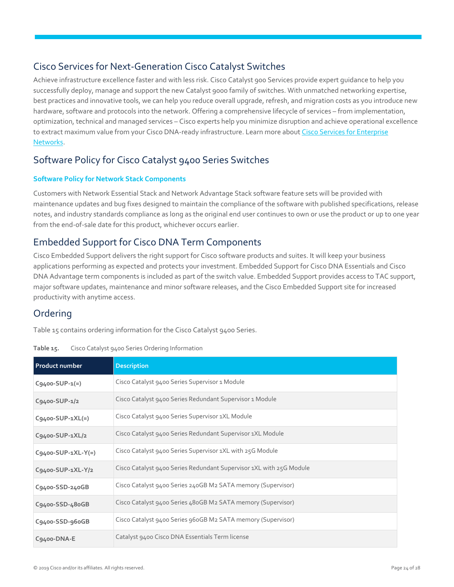## <span id="page-23-1"></span>Cisco Services for Next-Generation Cisco Catalyst Switches

Achieve infrastructure excellence faster and with less risk. Cisco Catalyst 900 Services provide expert guidance to help you successfully deploy, manage and support the new Catalyst 9000 family of switches. With unmatched networking expertise, best practices and innovative tools, we can help you reduce overall upgrade, refresh, and migration costs as you introduce new hardware, software and protocols into the network. Offering a comprehensive lifecycle of services – from implementation, optimization, technical and managed services – Cisco experts help you minimize disruption and achieve operational excellence to extract maximum value from your Cisco DNA-ready infrastructure. Learn more about Cisco Services for Enterprise [Networks.](https://www.cisco.com/c/en/us/solutions/enterprise-networks/service-listing.html)

## Software Policy for Cisco Catalyst 9400 Series Switches

#### **Software Policy for Network Stack Components**

Customers with Network Essential Stack and Network Advantage Stack software feature sets will be provided with maintenance updates and bug fixes designed to maintain the compliance of the software with published specifications, release notes, and industry standards compliance as long as the original end user continues to own or use the product or up to one year from the end-of-sale date for this product, whichever occurs earlier.

## Embedded Support for Cisco DNA Term Components

Cisco Embedded Support delivers the right support for Cisco software products and suites. It will keep your business applications performing as expected and protects your investment. Embedded Support for Cisco DNA Essentials and Cisco DNA Advantage term components is included as part of the switch value. Embedded Support provides access to TAC support, major software updates, maintenance and minor software releases, and the Cisco Embedded Support site for increased productivity with anytime access.

## <span id="page-23-0"></span>Ordering

Table 15 contains ordering information for the Cisco Catalyst 9400 Series.

<span id="page-23-2"></span>

| Table 15. | Cisco Catalyst 9400 Series Ordering Information |  |  |
|-----------|-------------------------------------------------|--|--|
|           |                                                 |  |  |

| <b>Product number</b>  | <b>Description</b>                                                  |
|------------------------|---------------------------------------------------------------------|
| $C9400 - SUP - 1(=)$   | Cisco Catalyst 9400 Series Supervisor 1 Module                      |
| $C9400-SUP-1/2$        | Cisco Catalyst 9400 Series Redundant Supervisor 1 Module            |
| $C9400 - SUB-1XL(=)$   | Cisco Catalyst 9400 Series Supervisor 1XL Module                    |
| $C9400$ -SUP-1XL/2     | Cisco Catalyst 9400 Series Redundant Supervisor 1XL Module          |
| $C9400 - SUP-1XL-Y(=)$ | Cisco Catalyst 9400 Series Supervisor 1XL with 25G Module           |
| C9400-SUP-1XL-Y/2      | Cisco Catalyst 9400 Series Redundant Supervisor 1XL with 25G Module |
| C9400-SSD-240GB        | Cisco Catalyst 9400 Series 240GB M2 SATA memory (Supervisor)        |
| C9400-SSD-480GB        | Cisco Catalyst 9400 Series 480GB M2 SATA memory (Supervisor)        |
| C9400-SSD-960GB        | Cisco Catalyst 9400 Series 960GB M2 SATA memory (Supervisor)        |
| C9400-DNA-E            | Catalyst 9400 Cisco DNA Essentials Term license                     |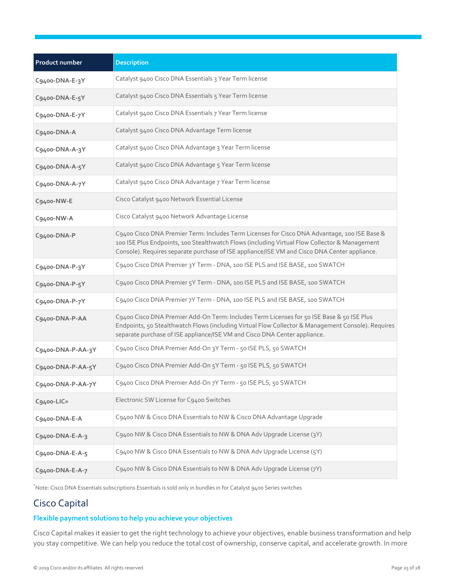| <b>Product number</b> | <b>Description</b>                                                                                                                                                                                                                                                                            |
|-----------------------|-----------------------------------------------------------------------------------------------------------------------------------------------------------------------------------------------------------------------------------------------------------------------------------------------|
| C9400-DNA-E-3Y        | Catalyst 9400 Cisco DNA Essentials 3 Year Term license                                                                                                                                                                                                                                        |
| C9400-DNA-E-5Y        | Catalyst 9400 Cisco DNA Essentials 5 Year Term license                                                                                                                                                                                                                                        |
| C9400-DNA-E-7Y        | Catalyst 9400 Cisco DNA Essentials 7 Year Term license                                                                                                                                                                                                                                        |
| C9400-DNA-A           | Catalyst 9400 Cisco DNA Advantage Term license                                                                                                                                                                                                                                                |
| C9400-DNA-A-3Y        | Catalyst 9400 Cisco DNA Advantage 3 Year Term license                                                                                                                                                                                                                                         |
| C9400-DNA-A-5Y        | Catalyst 9400 Cisco DNA Advantage 5 Year Term license                                                                                                                                                                                                                                         |
| C9400-DNA-A-7Y        | Catalyst 9400 Cisco DNA Advantage 7 Year Term license                                                                                                                                                                                                                                         |
| C9400-NW-E            | Cisco Catalyst 9400 Network Essential License                                                                                                                                                                                                                                                 |
| C9400-NW-A            | Cisco Catalyst 9400 Network Advantage License                                                                                                                                                                                                                                                 |
| C9400-DNA-P           | C9400 Cisco DNA Premier Term: Includes Term Licenses for Cisco DNA Advantage, 100 ISE Base &<br>100 ISE Plus Endpoints, 100 Stealthwatch Flows (including Virtual Flow Collector & Management<br>Console). Requires separate purchase of ISE appliance/ISE VM and Cisco DNA Center appliance. |
| C9400-DNA-P-3Y        | C9400 Cisco DNA Premier 3Y Term - DNA, 100 ISE PLS and ISE BASE, 100 SWATCH                                                                                                                                                                                                                   |
| C9400-DNA-P-5Y        | C9400 Cisco DNA Premier 5Y Term - DNA, 100 ISE PLS and ISE BASE, 100 SWATCH                                                                                                                                                                                                                   |
| C9400-DNA-P-7Y        | C9400 Cisco DNA Premier 7Y Term - DNA, 100 ISE PLS and ISE BASE, 100 SWATCH                                                                                                                                                                                                                   |
| C9400-DNA-P-AA        | C9400 Cisco DNA Premier Add-On Term: Includes Term Licenses for 50 ISE Base & 50 ISE Plus<br>Endpoints, 50 Stealthwatch Flows (including Virtual Flow Collector & Management Console). Requires<br>separate purchase of ISE appliance/ISE VM and Cisco DNA Center appliance.                  |
| C9400-DNA-P-AA-3Y     | C9400 Cisco DNA Premier Add-On 3Y Term - 50 ISE PLS, 50 SWATCH                                                                                                                                                                                                                                |
| C9400-DNA-P-AA-5Y     | C9400 Cisco DNA Premier Add-On 5Y Term - 50 ISE PLS, 50 SWATCH                                                                                                                                                                                                                                |
| C9400-DNA-P-AA-7Y     | C9400 Cisco DNA Premier Add-On 7Y Term - 50 ISE PLS, 50 SWATCH                                                                                                                                                                                                                                |
| $Cg400-LIC =$         | Electronic SW License for C9400 Switches                                                                                                                                                                                                                                                      |
| C9400-DNA-E-A         | C9400 NW & Cisco DNA Essentials to NW & Cisco DNA Advantage Upgrade                                                                                                                                                                                                                           |
| C9400-DNA-E-A-3       | C9400 NW & Cisco DNA Essentials to NW & DNA Adv Upgrade License (3Y)                                                                                                                                                                                                                          |
| C9400-DNA-E-A-5       | C9400 NW & Cisco DNA Essentials to NW & DNA Adv Upgrade License (5Y)                                                                                                                                                                                                                          |
| C9400-DNA-E-A-7       | C9400 NW & Cisco DNA Essentials to NW & DNA Adv Upgrade License (7Y)                                                                                                                                                                                                                          |

<span id="page-24-1"></span>\*Note: Cisco DNA Essentials subscriptions Essentials is sold only in bundles in for Catalyst 9400 Series switches

## <span id="page-24-0"></span>Cisco Capital

#### **Flexible payment solutions to help you achieve your objectives**

Cisco Capital makes it easier to get the right technology to achieve your objectives, enable business transformation and help you stay competitive. We can help you reduce the total cost of ownership, conserve capital, and accelerate growth. In more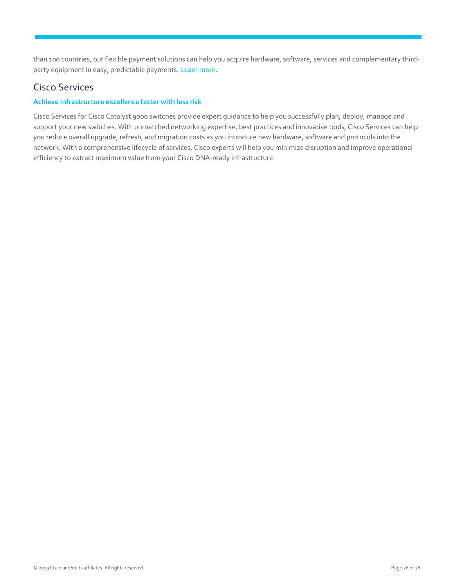than 100 countries, our flexible payment solutions can help you acquire hardware, software, services and complementary third-party equipment in easy, predictable payments[. Learn more.](https://www.cisco.com/go/financing)

## Cisco Services

#### **Achieve infrastructure excellence faster with less risk**

Cisco Services for Cisco Catalyst 9000 switches provide expert guidance to help you successfully plan, deploy, manage and support your new switches. With unmatched networking expertise, best practices and innovative tools, Cisco Services can help you reduce overall upgrade, refresh, and migration costs as you introduce new hardware, software and protocols into the network. With a comprehensive lifecycle of services, Cisco experts will help you minimize disruption and improve operational efficiency to extract maximum value from your Cisco DNA-ready infrastructure.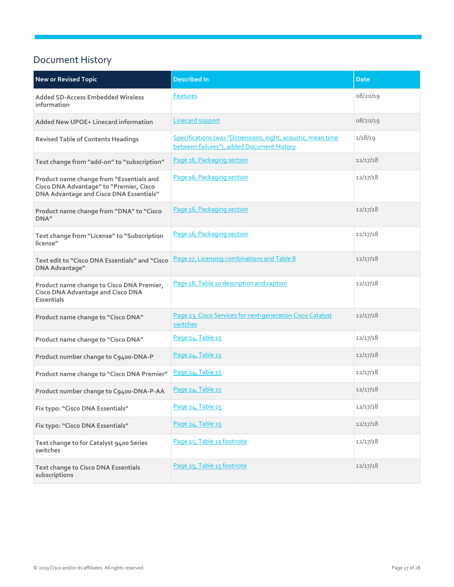## <span id="page-26-0"></span>Document History

| <b>New or Revised Topic</b>                                                                                                    | <b>Described In</b>                                                                                       | <b>Date</b> |
|--------------------------------------------------------------------------------------------------------------------------------|-----------------------------------------------------------------------------------------------------------|-------------|
| <b>Added SD-Access Embedded Wireless</b><br>information                                                                        | <b>Features</b>                                                                                           | 08/20/19    |
| <b>Added New UPOE+ Linecard information</b>                                                                                    | <b>Linecard support</b>                                                                                   | 08/20/19    |
| <b>Revised Table of Contents Headings</b>                                                                                      | Specifications (was "Dimensions, eight, acoustic, mean time<br>between failures"), added Document History | 1/18/19     |
| Text change from "add-on" to "subscription"                                                                                    | Page 16, Packaging section                                                                                | 12/17/18    |
| Product name change from "Essentials and<br>Cisco DNA Advantage" to "Premier, Cisco<br>DNA Advantage and Cisco DNA Essentials" | Page 16, Packaging section                                                                                | 12/17/18    |
| Product name change from "DNA" to "Cisco<br>DNA"                                                                               | Page 16, Packaging section                                                                                | 12/17/18    |
| Text change from "License" to "Subscription<br>license"                                                                        | Page 16, Packaging section                                                                                | 12/17/18    |
| Text edit to "Cisco DNA Essentials" and "Cisco<br>DNA Advantage"                                                               | Page 17, Licensing combinations and Table 8                                                               | 12/17/18    |
| Product name change to Cisco DNA Premier,<br><b>Cisco DNA Advantage and Cisco DNA</b><br><b>Essentials</b>                     | Page 18, Table 10 description and caption                                                                 | 12/17/18    |
| Product name change to "Cisco DNA"                                                                                             | Page 23, Cisco Services for next-generation Cisco Catalyst<br>switches                                    | 12/17/18    |
| Product name change to "Cisco DNA"                                                                                             | Page 24, Table 15                                                                                         | 12/17/18    |
| Product number change to C9400-DNA-P                                                                                           | Page 24, Table 15                                                                                         | 12/17/18    |
| Product name change to "Cisco DNA Premier"                                                                                     | Page 24, Table 15                                                                                         | 12/17/18    |
| Product number change to C9400-DNA-P-AA                                                                                        | Page 24, Table 15                                                                                         | 12/17/18    |
| Fix typo: "Cisco DNA Essentials"                                                                                               | Page 24, Table 15                                                                                         | 12/17/18    |
| Fix typo: "Cisco DNA Essentials"                                                                                               | Page 24, Table 15                                                                                         | 12/17/18    |
| Text change to for Catalyst 9400 Series<br>switches                                                                            | Page 25, Table 15 footnote                                                                                | 12/17/18    |
| <b>Text change to Cisco DNA Essentials</b><br>subscriptions                                                                    | Page 25, Table 15 footnote                                                                                | 12/17/18    |